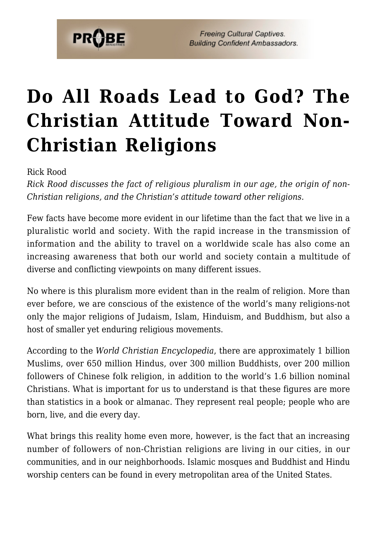

# **[Do All Roads Lead to God? The](https://probe.org/do-all-roads-lead-to-god-the-christian-attitude-toward-non-christian-religions/) [Christian Attitude Toward Non-](https://probe.org/do-all-roads-lead-to-god-the-christian-attitude-toward-non-christian-religions/)[Christian Religions](https://probe.org/do-all-roads-lead-to-god-the-christian-attitude-toward-non-christian-religions/)**

Rick Rood

*Rick Rood discusses the fact of religious pluralism in our age, the origin of non-Christian religions, and the Christian's attitude toward other religions.*

Few facts have become more evident in our lifetime than the fact that we live in a pluralistic world and society. With the rapid increase in the transmission of information and the ability to travel on a worldwide scale has also come an increasing awareness that both our world and society contain a multitude of diverse and conflicting viewpoints on many different issues.

No where is this pluralism more evident than in the realm of religion. More than ever before, we are conscious of the existence of the world's many religions-not only the major religions of Judaism, Islam, Hinduism, and Buddhism, but also a host of smaller yet enduring religious movements.

According to the *World Christian Encyclopedia*, there are approximately 1 billion Muslims, over 650 million Hindus, over 300 million Buddhists, over 200 million followers of Chinese folk religion, in addition to the world's 1.6 billion nominal Christians. What is important for us to understand is that these figures are more than statistics in a book or almanac. They represent real people; people who are born, live, and die every day.

What brings this reality home even more, however, is the fact that an increasing number of followers of non-Christian religions are living in our cities, in our communities, and in our neighborhoods. Islamic mosques and Buddhist and Hindu worship centers can be found in every metropolitan area of the United States.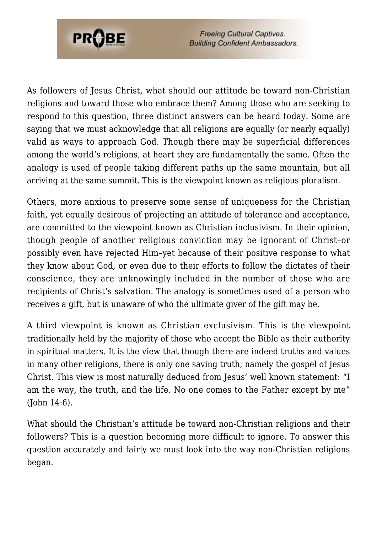

As followers of Jesus Christ, what should our attitude be toward non-Christian religions and toward those who embrace them? Among those who are seeking to respond to this question, three distinct answers can be heard today. Some are saying that we must acknowledge that all religions are equally (or nearly equally) valid as ways to approach God. Though there may be superficial differences among the world's religions, at heart they are fundamentally the same. Often the analogy is used of people taking different paths up the same mountain, but all arriving at the same summit. This is the viewpoint known as religious pluralism.

Others, more anxious to preserve some sense of uniqueness for the Christian faith, yet equally desirous of projecting an attitude of tolerance and acceptance, are committed to the viewpoint known as Christian inclusivism. In their opinion, though people of another religious conviction may be ignorant of Christ–or possibly even have rejected Him–yet because of their positive response to what they know about God, or even due to their efforts to follow the dictates of their conscience, they are unknowingly included in the number of those who are recipients of Christ's salvation. The analogy is sometimes used of a person who receives a gift, but is unaware of who the ultimate giver of the gift may be.

A third viewpoint is known as Christian exclusivism. This is the viewpoint traditionally held by the majority of those who accept the Bible as their authority in spiritual matters. It is the view that though there are indeed truths and values in many other religions, there is only one saving truth, namely the gospel of Jesus Christ. This view is most naturally deduced from Jesus' well known statement: "I am the way, the truth, and the life. No one comes to the Father except by me" (John 14:6).

What should the Christian's attitude be toward non-Christian religions and their followers? This is a question becoming more difficult to ignore. To answer this question accurately and fairly we must look into the way non-Christian religions began.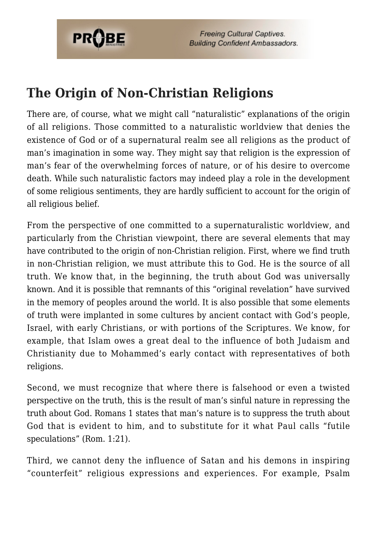

### **The Origin of Non-Christian Religions**

There are, of course, what we might call "naturalistic" explanations of the origin of all religions. Those committed to a naturalistic worldview that denies the existence of God or of a supernatural realm see all religions as the product of man's imagination in some way. They might say that religion is the expression of man's fear of the overwhelming forces of nature, or of his desire to overcome death. While such naturalistic factors may indeed play a role in the development of some religious sentiments, they are hardly sufficient to account for the origin of all religious belief.

From the perspective of one committed to a supernaturalistic worldview, and particularly from the Christian viewpoint, there are several elements that may have contributed to the origin of non-Christian religion. First, where we find truth in non-Christian religion, we must attribute this to God. He is the source of all truth. We know that, in the beginning, the truth about God was universally known. And it is possible that remnants of this "original revelation" have survived in the memory of peoples around the world. It is also possible that some elements of truth were implanted in some cultures by ancient contact with God's people, Israel, with early Christians, or with portions of the Scriptures. We know, for example, that Islam owes a great deal to the influence of both Judaism and Christianity due to Mohammed's early contact with representatives of both religions.

Second, we must recognize that where there is falsehood or even a twisted perspective on the truth, this is the result of man's sinful nature in repressing the truth about God. Romans 1 states that man's nature is to suppress the truth about God that is evident to him, and to substitute for it what Paul calls "futile speculations" (Rom. 1:21).

Third, we cannot deny the influence of Satan and his demons in inspiring "counterfeit" religious expressions and experiences. For example, Psalm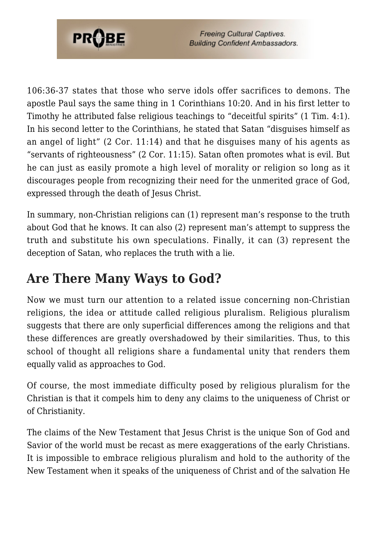

106:36-37 states that those who serve idols offer sacrifices to demons. The apostle Paul says the same thing in 1 Corinthians 10:20. And in his first letter to Timothy he attributed false religious teachings to "deceitful spirits" (1 Tim. 4:1). In his second letter to the Corinthians, he stated that Satan "disguises himself as an angel of light" (2 Cor. 11:14) and that he disguises many of his agents as "servants of righteousness" (2 Cor. 11:15). Satan often promotes what is evil. But he can just as easily promote a high level of morality or religion so long as it discourages people from recognizing their need for the unmerited grace of God, expressed through the death of Jesus Christ.

In summary, non-Christian religions can (1) represent man's response to the truth about God that he knows. It can also (2) represent man's attempt to suppress the truth and substitute his own speculations. Finally, it can (3) represent the deception of Satan, who replaces the truth with a lie.

### **Are There Many Ways to God?**

Now we must turn our attention to a related issue concerning non-Christian religions, the idea or attitude called religious pluralism. Religious pluralism suggests that there are only superficial differences among the religions and that these differences are greatly overshadowed by their similarities. Thus, to this school of thought all religions share a fundamental unity that renders them equally valid as approaches to God.

Of course, the most immediate difficulty posed by religious pluralism for the Christian is that it compels him to deny any claims to the uniqueness of Christ or of Christianity.

The claims of the New Testament that Jesus Christ is the unique Son of God and Savior of the world must be recast as mere exaggerations of the early Christians. It is impossible to embrace religious pluralism and hold to the authority of the New Testament when it speaks of the uniqueness of Christ and of the salvation He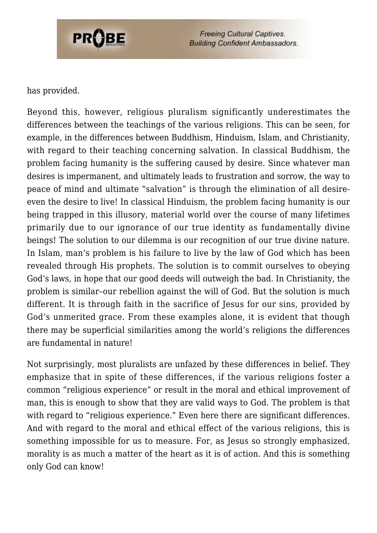

#### has provided.

Beyond this, however, religious pluralism significantly underestimates the differences between the teachings of the various religions. This can be seen, for example, in the differences between Buddhism, Hinduism, Islam, and Christianity, with regard to their teaching concerning salvation. In classical Buddhism, the problem facing humanity is the suffering caused by desire. Since whatever man desires is impermanent, and ultimately leads to frustration and sorrow, the way to peace of mind and ultimate "salvation" is through the elimination of all desireeven the desire to live! In classical Hinduism, the problem facing humanity is our being trapped in this illusory, material world over the course of many lifetimes primarily due to our ignorance of our true identity as fundamentally divine beings! The solution to our dilemma is our recognition of our true divine nature. In Islam, man's problem is his failure to live by the law of God which has been revealed through His prophets. The solution is to commit ourselves to obeying God's laws, in hope that our good deeds will outweigh the bad. In Christianity, the problem is similar–our rebellion against the will of God. But the solution is much different. It is through faith in the sacrifice of Jesus for our sins, provided by God's unmerited grace. From these examples alone, it is evident that though there may be superficial similarities among the world's religions the differences are fundamental in nature!

Not surprisingly, most pluralists are unfazed by these differences in belief. They emphasize that in spite of these differences, if the various religions foster a common "religious experience" or result in the moral and ethical improvement of man, this is enough to show that they are valid ways to God. The problem is that with regard to "religious experience." Even here there are significant differences. And with regard to the moral and ethical effect of the various religions, this is something impossible for us to measure. For, as Jesus so strongly emphasized, morality is as much a matter of the heart as it is of action. And this is something only God can know!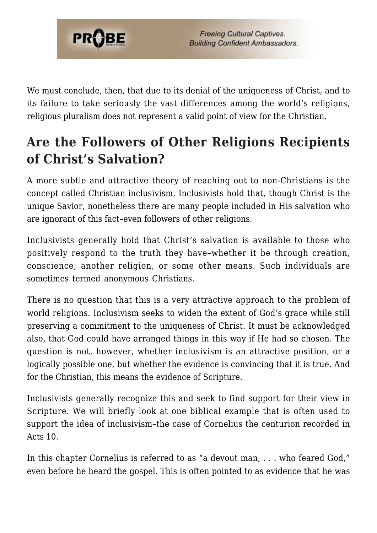

We must conclude, then, that due to its denial of the uniqueness of Christ, and to its failure to take seriously the vast differences among the world's religions, religious pluralism does not represent a valid point of view for the Christian.

# **Are the Followers of Other Religions Recipients of Christ's Salvation?**

A more subtle and attractive theory of reaching out to non-Christians is the concept called Christian inclusivism. Inclusivists hold that, though Christ is the unique Savior, nonetheless there are many people included in His salvation who are ignorant of this fact–even followers of other religions.

Inclusivists generally hold that Christ's salvation is available to those who positively respond to the truth they have–whether it be through creation, conscience, another religion, or some other means. Such individuals are sometimes termed anonymous Christians.

There is no question that this is a very attractive approach to the problem of world religions. Inclusivism seeks to widen the extent of God's grace while still preserving a commitment to the uniqueness of Christ. It must be acknowledged also, that God could have arranged things in this way if He had so chosen. The question is not, however, whether inclusivism is an attractive position, or a logically possible one, but whether the evidence is convincing that it is true. And for the Christian, this means the evidence of Scripture.

Inclusivists generally recognize this and seek to find support for their view in Scripture. We will briefly look at one biblical example that is often used to support the idea of inclusivism–the case of Cornelius the centurion recorded in Acts 10.

In this chapter Cornelius is referred to as "a devout man, . . . who feared God," even before he heard the gospel. This is often pointed to as evidence that he was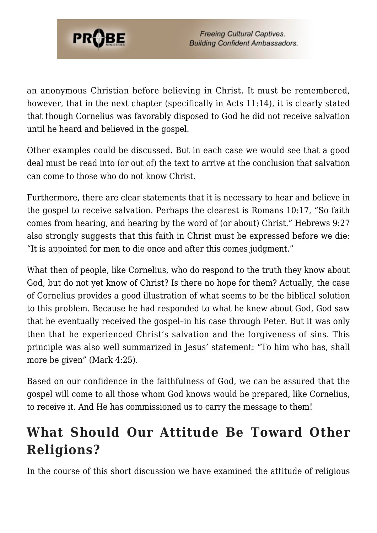

an anonymous Christian before believing in Christ. It must be remembered, however, that in the next chapter (specifically in Acts 11:14), it is clearly stated that though Cornelius was favorably disposed to God he did not receive salvation until he heard and believed in the gospel.

Other examples could be discussed. But in each case we would see that a good deal must be read into (or out of) the text to arrive at the conclusion that salvation can come to those who do not know Christ.

Furthermore, there are clear statements that it is necessary to hear and believe in the gospel to receive salvation. Perhaps the clearest is Romans 10:17, "So faith comes from hearing, and hearing by the word of (or about) Christ." Hebrews 9:27 also strongly suggests that this faith in Christ must be expressed before we die: "It is appointed for men to die once and after this comes judgment."

What then of people, like Cornelius, who do respond to the truth they know about God, but do not yet know of Christ? Is there no hope for them? Actually, the case of Cornelius provides a good illustration of what seems to be the biblical solution to this problem. Because he had responded to what he knew about God, God saw that he eventually received the gospel–in his case through Peter. But it was only then that he experienced Christ's salvation and the forgiveness of sins. This principle was also well summarized in Jesus' statement: "To him who has, shall more be given" (Mark 4:25).

Based on our confidence in the faithfulness of God, we can be assured that the gospel will come to all those whom God knows would be prepared, like Cornelius, to receive it. And He has commissioned us to carry the message to them!

## **What Should Our Attitude Be Toward Other Religions?**

In the course of this short discussion we have examined the attitude of religious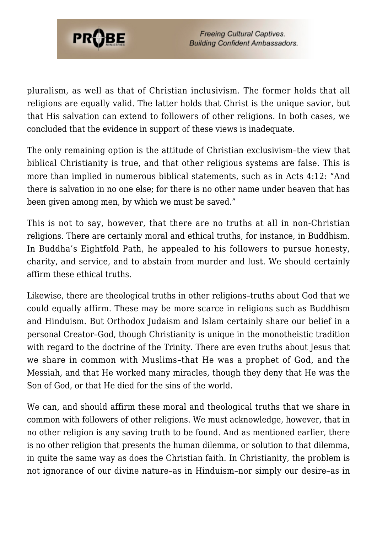

pluralism, as well as that of Christian inclusivism. The former holds that all religions are equally valid. The latter holds that Christ is the unique savior, but that His salvation can extend to followers of other religions. In both cases, we concluded that the evidence in support of these views is inadequate.

The only remaining option is the attitude of Christian exclusivism–the view that biblical Christianity is true, and that other religious systems are false. This is more than implied in numerous biblical statements, such as in Acts 4:12: "And there is salvation in no one else; for there is no other name under heaven that has been given among men, by which we must be saved."

This is not to say, however, that there are no truths at all in non-Christian religions. There are certainly moral and ethical truths, for instance, in Buddhism. In Buddha's Eightfold Path, he appealed to his followers to pursue honesty, charity, and service, and to abstain from murder and lust. We should certainly affirm these ethical truths.

Likewise, there are theological truths in other religions–truths about God that we could equally affirm. These may be more scarce in religions such as Buddhism and Hinduism. But Orthodox Judaism and Islam certainly share our belief in a personal Creator–God, though Christianity is unique in the monotheistic tradition with regard to the doctrine of the Trinity. There are even truths about Jesus that we share in common with Muslims–that He was a prophet of God, and the Messiah, and that He worked many miracles, though they deny that He was the Son of God, or that He died for the sins of the world.

We can, and should affirm these moral and theological truths that we share in common with followers of other religions. We must acknowledge, however, that in no other religion is any saving truth to be found. And as mentioned earlier, there is no other religion that presents the human dilemma, or solution to that dilemma, in quite the same way as does the Christian faith. In Christianity, the problem is not ignorance of our divine nature–as in Hinduism–nor simply our desire–as in